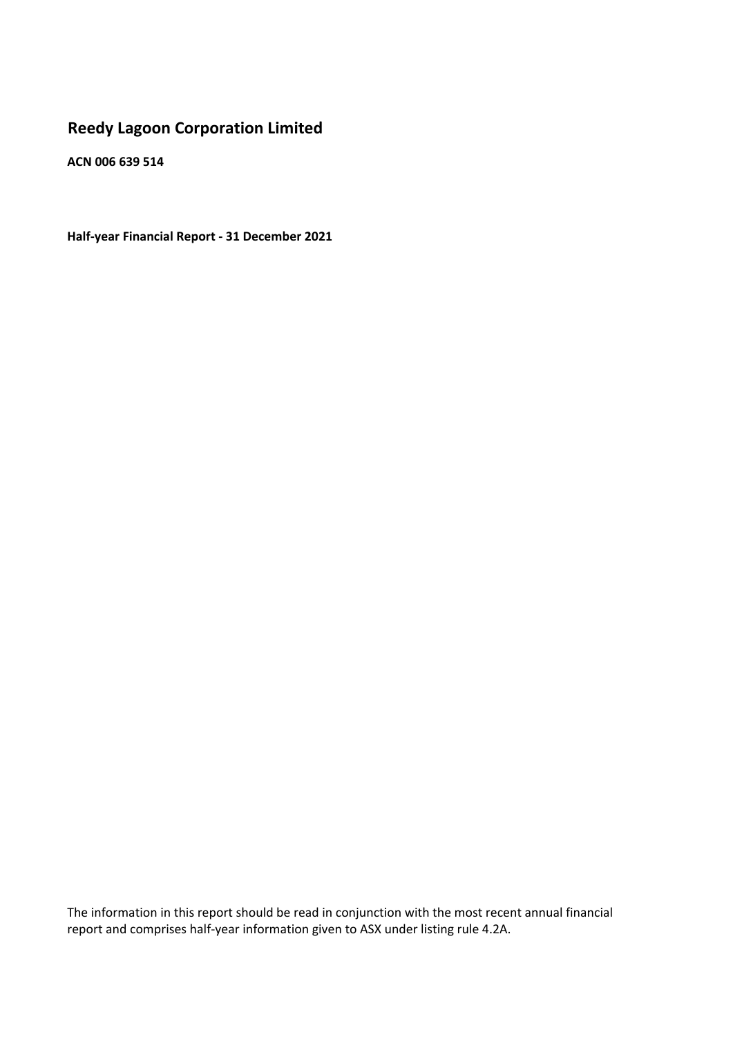# **Reedy Lagoon Corporation Limited**

**ACN 006 639 514**

**Half‐year Financial Report ‐ 31 December 2021**

The information in this report should be read in conjunction with the most recent annual financial report and comprises half-year information given to ASX under listing rule 4.2A.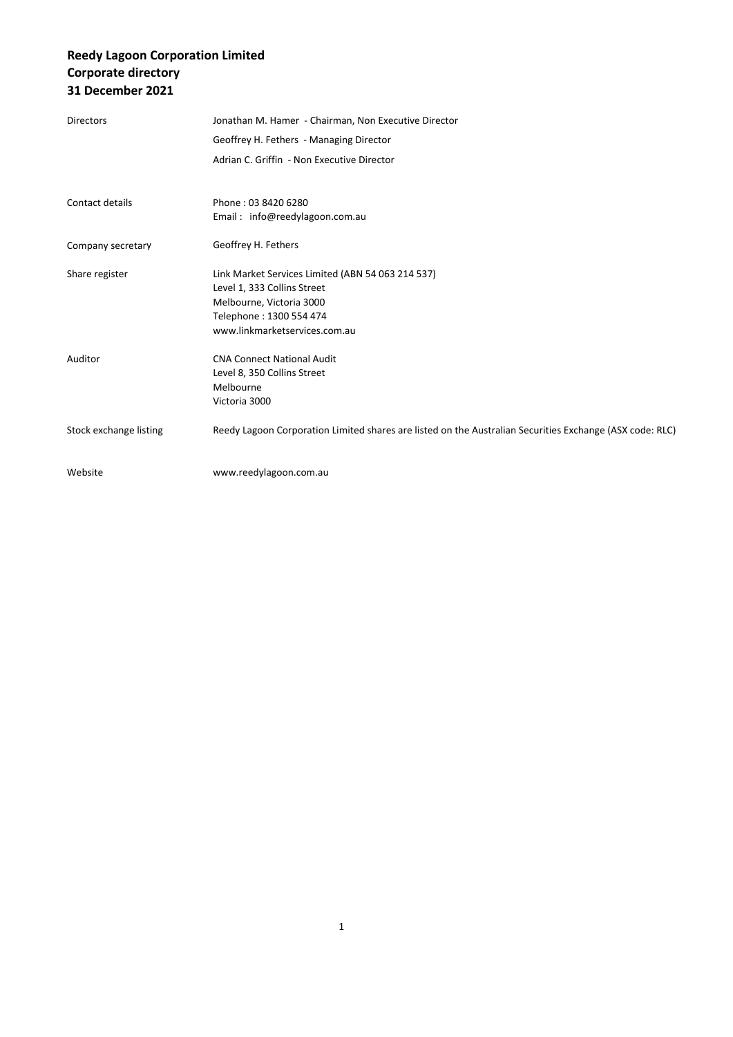# **Reedy Lagoon Corporation Limited Corporate directory 31 December 2021**

| <b>Directors</b>       | Jonathan M. Hamer - Chairman, Non Executive Director<br>Geoffrey H. Fethers - Managing Director<br>Adrian C. Griffin - Non Executive Director                            |
|------------------------|--------------------------------------------------------------------------------------------------------------------------------------------------------------------------|
| Contact details        | Phone: 03 8420 6280<br>Email: info@reedylagoon.com.au                                                                                                                    |
| Company secretary      | Geoffrey H. Fethers                                                                                                                                                      |
| Share register         | Link Market Services Limited (ABN 54 063 214 537)<br>Level 1, 333 Collins Street<br>Melbourne, Victoria 3000<br>Telephone: 1300 554 474<br>www.linkmarketservices.com.au |
| Auditor                | <b>CNA Connect National Audit</b><br>Level 8, 350 Collins Street<br>Melbourne<br>Victoria 3000                                                                           |
| Stock exchange listing | Reedy Lagoon Corporation Limited shares are listed on the Australian Securities Exchange (ASX code: RLC)                                                                 |
| Website                | www.reedylagoon.com.au                                                                                                                                                   |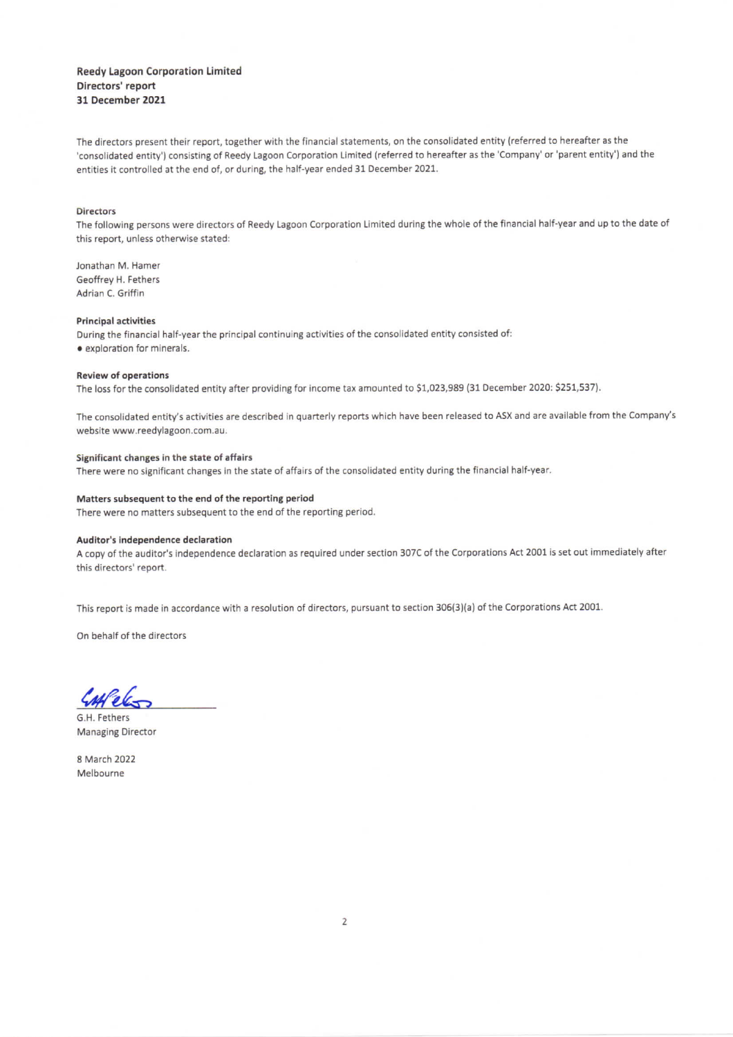### **Reedy Lagoon Corporation Limited** Directors' report 31 December 2021

The directors present their report, together with the financial statements, on the consolidated entity (referred to hereafter as the 'consolidated entity') consisting of Reedy Lagoon Corporation Limited (referred to hereafter as the 'Company' or 'parent entity') and the entities it controlled at the end of, or during, the half-year ended 31 December 2021.

#### **Directors**

The following persons were directors of Reedy Lagoon Corporation Limited during the whole of the financial half-year and up to the date of this report, unless otherwise stated:

Jonathan M. Hamer Geoffrey H. Fethers Adrian C. Griffin

#### **Principal activities**

During the financial half-year the principal continuing activities of the consolidated entity consisted of: · exploration for minerals.

#### **Review of operations**

The loss for the consolidated entity after providing for income tax amounted to \$1,023,989 (31 December 2020: \$251,537).

The consolidated entity's activities are described in quarterly reports which have been released to ASX and are available from the Company's website www.reedylagoon.com.au.

#### Significant changes in the state of affairs

There were no significant changes in the state of affairs of the consolidated entity during the financial half-year.

#### Matters subsequent to the end of the reporting period

There were no matters subsequent to the end of the reporting period.

#### Auditor's independence declaration

A copy of the auditor's independence declaration as required under section 307C of the Corporations Act 2001 is set out immediately after this directors' report.

This report is made in accordance with a resolution of directors, pursuant to section 306(3)(a) of the Corporations Act 2001.

On behalf of the directors

G.H. Fethers **Managing Director** 

8 March 2022 Melbourne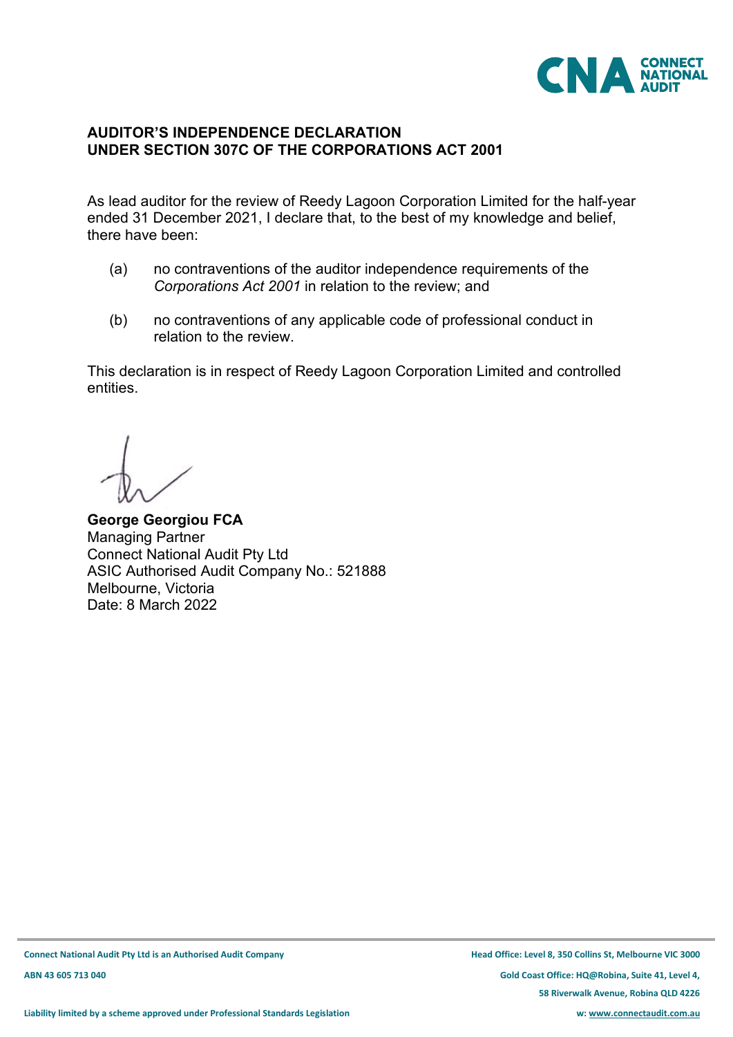

# **AUDITOR'S INDEPENDENCE DECLARATION UNDER SECTION 307C OF THE CORPORATIONS ACT 2001**

As lead auditor for the review of Reedy Lagoon Corporation Limited for the half-year ended 31 December 2021, I declare that, to the best of my knowledge and belief, there have been:

- (a) no contraventions of the auditor independence requirements of the *Corporations Act 2001* in relation to the review; and
- (b) no contraventions of any applicable code of professional conduct in relation to the review.

This declaration is in respect of Reedy Lagoon Corporation Limited and controlled entities.

**George Georgiou FCA** Managing Partner Connect National Audit Pty Ltd ASIC Authorised Audit Company No.: 521888 Melbourne, Victoria Date: 8 March 2022

**ABN 43 605 713 040 Gold Coast Office: HQ@Robina, Suite 41, Level 4, 58 Riverwalk Avenue, Robina QLD 4226**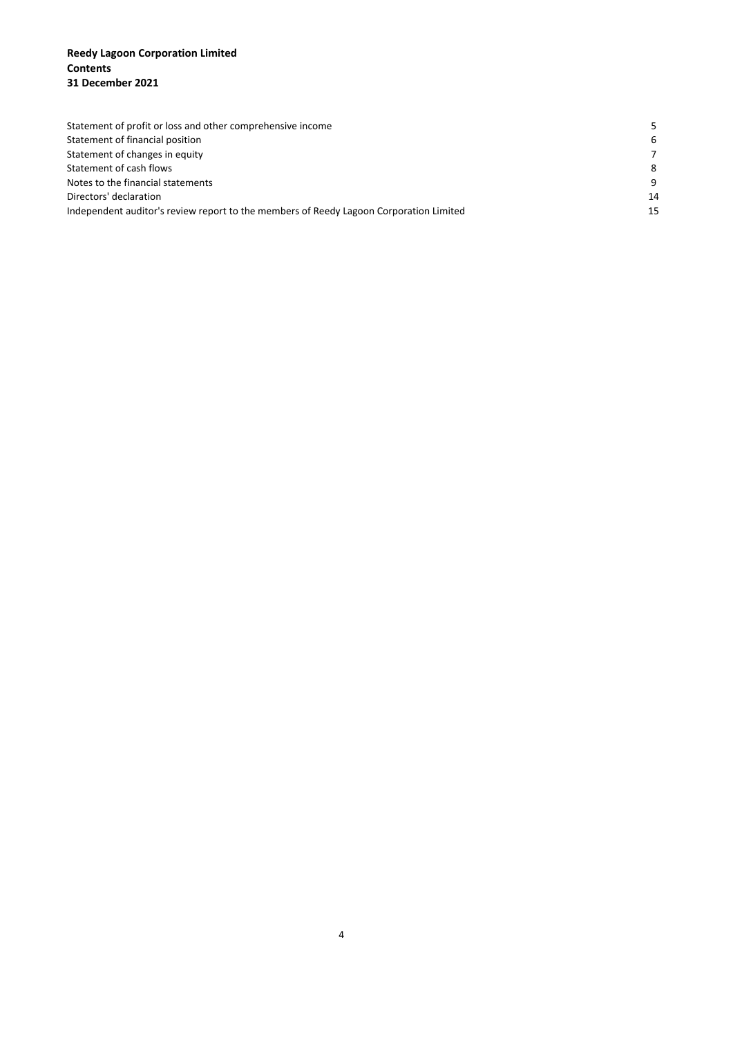### **Reedy Lagoon Corporation Limited Contents 31 December 2021**

| Statement of profit or loss and other comprehensive income                             |                |
|----------------------------------------------------------------------------------------|----------------|
| Statement of financial position                                                        | 6              |
| Statement of changes in equity                                                         | $\overline{7}$ |
| Statement of cash flows                                                                | 8              |
| Notes to the financial statements                                                      | 9              |
| Directors' declaration                                                                 | 14             |
| Independent auditor's review report to the members of Reedy Lagoon Corporation Limited | 15             |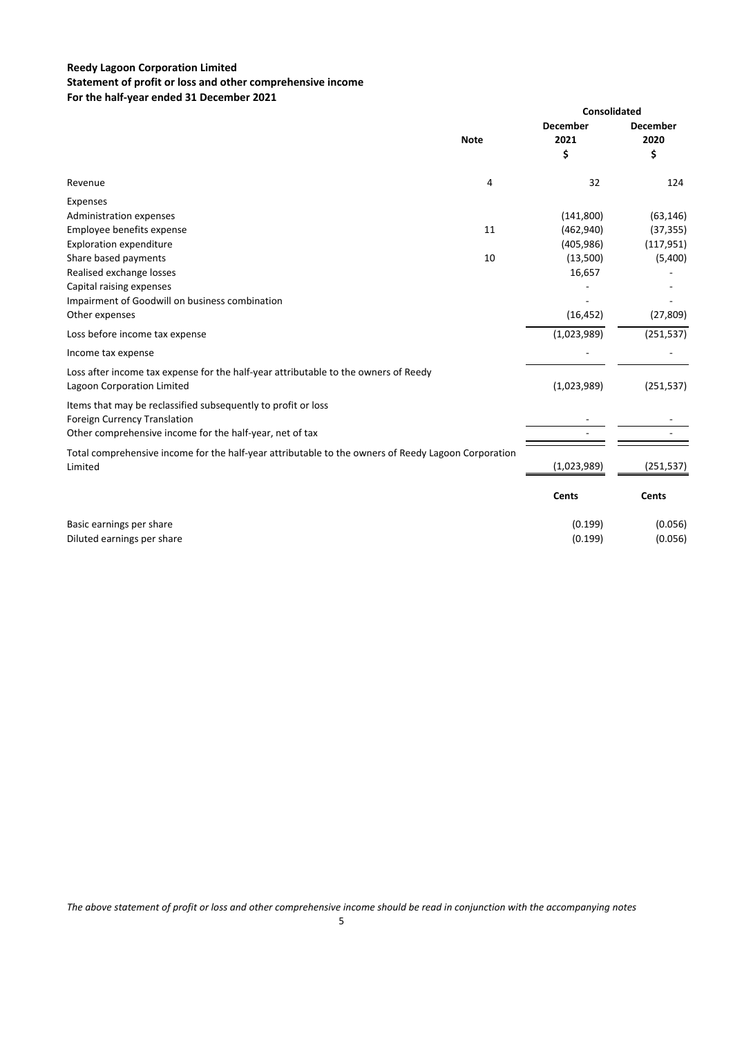### **Reedy Lagoon Corporation Limited Statement of profit or loss and other comprehensive income For the half‐year ended 31 December 2021**

|                                                                                                                   |             | <b>Consolidated</b>           |                               |  |
|-------------------------------------------------------------------------------------------------------------------|-------------|-------------------------------|-------------------------------|--|
|                                                                                                                   | <b>Note</b> | <b>December</b><br>2021<br>\$ | <b>December</b><br>2020<br>\$ |  |
| Revenue                                                                                                           | 4           | 32                            | 124                           |  |
| Expenses                                                                                                          |             |                               |                               |  |
| Administration expenses                                                                                           |             | (141,800)                     | (63, 146)                     |  |
| Employee benefits expense                                                                                         | 11          | (462, 940)                    | (37, 355)                     |  |
| <b>Exploration expenditure</b>                                                                                    |             | (405, 986)                    | (117, 951)                    |  |
| Share based payments                                                                                              | 10          | (13,500)                      | (5,400)                       |  |
| Realised exchange losses                                                                                          |             | 16,657                        |                               |  |
| Capital raising expenses                                                                                          |             |                               |                               |  |
| Impairment of Goodwill on business combination                                                                    |             |                               |                               |  |
| Other expenses                                                                                                    |             | (16, 452)                     | (27, 809)                     |  |
| Loss before income tax expense                                                                                    |             | (1,023,989)                   | (251, 537)                    |  |
| Income tax expense                                                                                                |             |                               |                               |  |
| Loss after income tax expense for the half-year attributable to the owners of Reedy<br>Lagoon Corporation Limited |             | (1,023,989)                   | (251, 537)                    |  |
| Items that may be reclassified subsequently to profit or loss                                                     |             |                               |                               |  |
| <b>Foreign Currency Translation</b>                                                                               |             |                               |                               |  |
| Other comprehensive income for the half-year, net of tax                                                          |             |                               |                               |  |
| Total comprehensive income for the half-year attributable to the owners of Reedy Lagoon Corporation               |             |                               |                               |  |
| Limited                                                                                                           |             | (1,023,989)                   | (251, 537)                    |  |
|                                                                                                                   |             | <b>Cents</b>                  | <b>Cents</b>                  |  |
| Basic earnings per share                                                                                          |             | (0.199)                       | (0.056)                       |  |
| Diluted earnings per share                                                                                        |             | (0.199)                       | (0.056)                       |  |
|                                                                                                                   |             |                               |                               |  |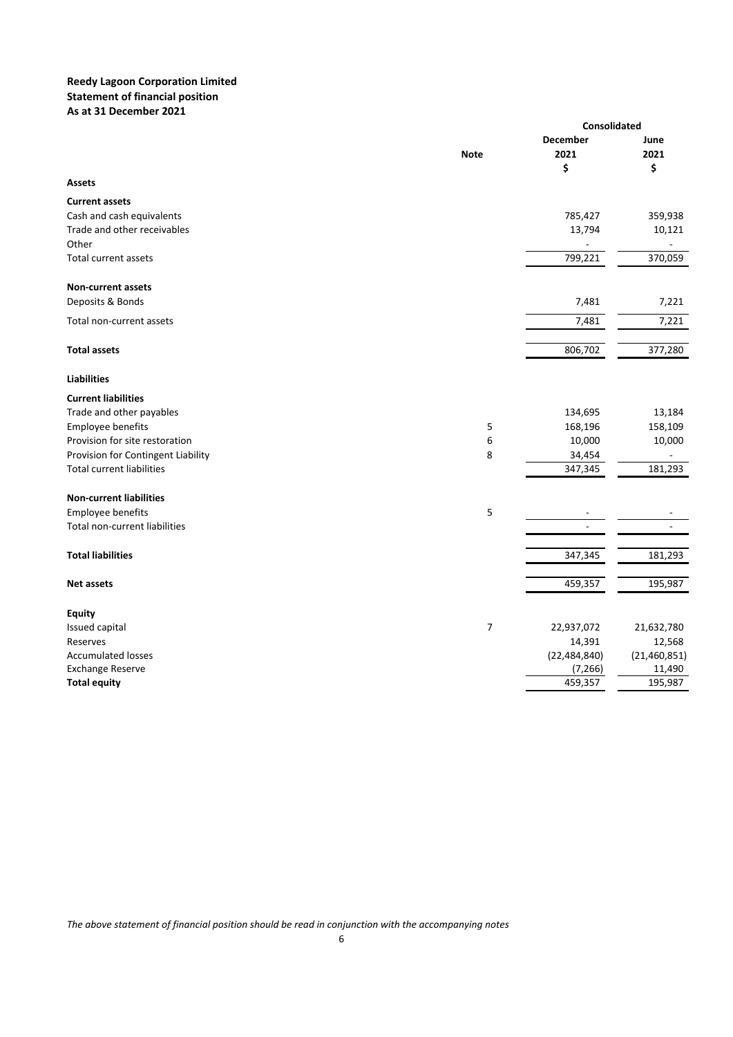### **Reedy Lagoon Corporation Limited Statement of financial position As at 31 December 2021**

|                                    |                | Consolidated                  |                    |  |
|------------------------------------|----------------|-------------------------------|--------------------|--|
|                                    | <b>Note</b>    | <b>December</b><br>2021<br>\$ | June<br>2021<br>\$ |  |
| <b>Assets</b>                      |                |                               |                    |  |
| <b>Current assets</b>              |                |                               |                    |  |
| Cash and cash equivalents          |                | 785,427                       | 359,938            |  |
| Trade and other receivables        |                | 13,794                        | 10,121             |  |
| Other                              |                | $\overline{\phantom{0}}$      | ÷,                 |  |
| <b>Total current assets</b>        |                | 799,221                       | 370,059            |  |
| <b>Non-current assets</b>          |                |                               |                    |  |
| Deposits & Bonds                   |                | 7,481                         | 7,221              |  |
| Total non-current assets           |                | 7,481                         | 7,221              |  |
| <b>Total assets</b>                |                | 806,702                       | 377,280            |  |
| <b>Liabilities</b>                 |                |                               |                    |  |
| <b>Current liabilities</b>         |                |                               |                    |  |
| Trade and other payables           |                | 134,695                       | 13,184             |  |
| Employee benefits                  | 5              | 168,196                       | 158,109            |  |
| Provision for site restoration     | 6              | 10,000                        | 10,000             |  |
| Provision for Contingent Liability | 8              | 34,454                        | ä,                 |  |
| <b>Total current liabilities</b>   |                | 347,345                       | 181,293            |  |
| <b>Non-current liabilities</b>     |                |                               |                    |  |
| Employee benefits                  | 5              |                               |                    |  |
| Total non-current liabilities      |                |                               |                    |  |
| <b>Total liabilities</b>           |                | 347,345                       | 181,293            |  |
| Net assets                         |                | 459,357                       | 195,987            |  |
| <b>Equity</b>                      |                |                               |                    |  |
| Issued capital                     | $\overline{7}$ | 22,937,072                    | 21,632,780         |  |
| Reserves                           |                | 14,391                        | 12,568             |  |
| <b>Accumulated losses</b>          |                | (22, 484, 840)                | (21, 460, 851)     |  |
| <b>Exchange Reserve</b>            |                | (7, 266)                      | 11,490             |  |
| <b>Total equity</b>                |                | 459,357                       | 195,987            |  |

*The above statement of financial position should be read in conjunction with the accompanying notes*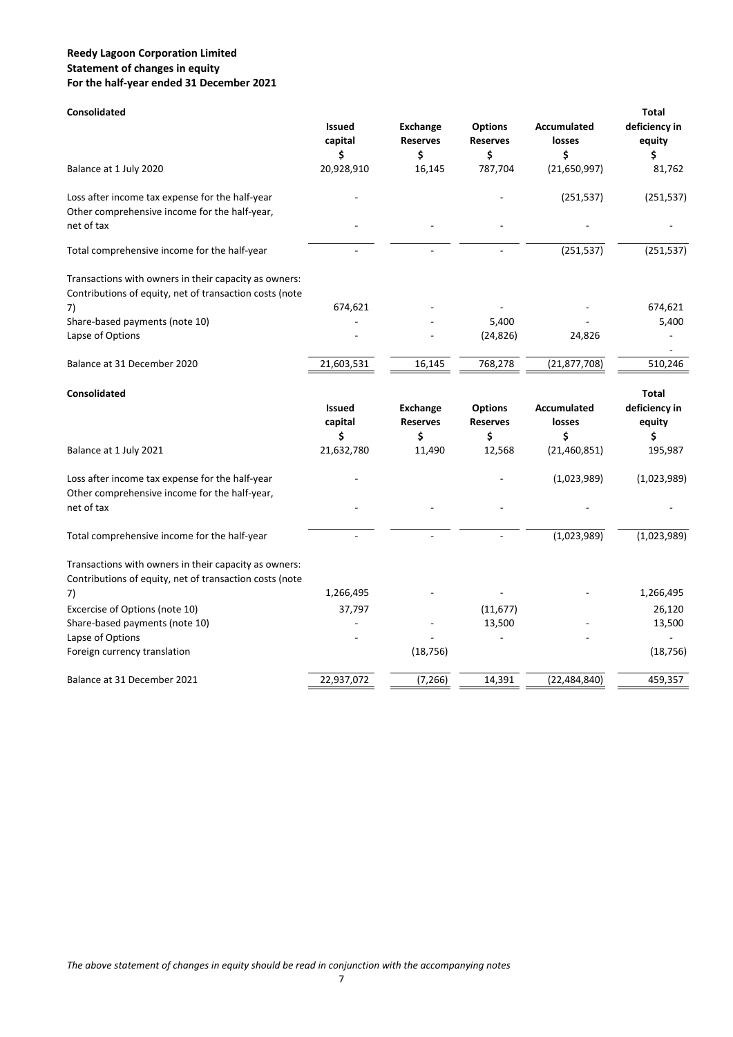### **Reedy Lagoon Corporation Limited Statement of changes in equity For the half‐year ended 31 December 2021**

| <b>Consolidated</b>                                                                                              |                                |                                          |                                         |                                    | <b>Total</b>                  |
|------------------------------------------------------------------------------------------------------------------|--------------------------------|------------------------------------------|-----------------------------------------|------------------------------------|-------------------------------|
|                                                                                                                  | <b>Issued</b><br>capital<br>\$ | <b>Exchange</b><br><b>Reserves</b><br>\$ | <b>Options</b><br><b>Reserves</b><br>\$ | <b>Accumulated</b><br>losses<br>\$ | deficiency in<br>equity<br>\$ |
| Balance at 1 July 2020                                                                                           | 20,928,910                     | 16,145                                   | 787,704                                 | (21,650,997)                       | 81,762                        |
| Loss after income tax expense for the half-year                                                                  |                                |                                          |                                         | (251, 537)                         | (251, 537)                    |
| Other comprehensive income for the half-year,<br>net of tax                                                      |                                |                                          |                                         |                                    |                               |
| Total comprehensive income for the half-year                                                                     |                                |                                          |                                         | (251, 537)                         | (251, 537)                    |
| Transactions with owners in their capacity as owners:<br>Contributions of equity, net of transaction costs (note |                                |                                          |                                         |                                    |                               |
| 7)                                                                                                               | 674,621                        |                                          |                                         |                                    | 674,621                       |
| Share-based payments (note 10)                                                                                   |                                |                                          | 5,400                                   |                                    | 5,400                         |
| Lapse of Options                                                                                                 |                                |                                          | (24, 826)                               | 24,826                             |                               |
| Balance at 31 December 2020                                                                                      | 21,603,531                     | 16,145                                   | 768,278                                 | (21, 877, 708)                     | 510,246                       |
| <b>Consolidated</b>                                                                                              |                                |                                          |                                         |                                    | <b>Total</b>                  |
|                                                                                                                  | <b>Issued</b><br>capital       | <b>Exchange</b><br><b>Reserves</b>       | <b>Options</b><br><b>Reserves</b>       | Accumulated<br>losses              | deficiency in<br>equity       |
|                                                                                                                  | \$                             | \$                                       | \$                                      | \$                                 | \$                            |
| Balance at 1 July 2021                                                                                           | 21,632,780                     | 11,490                                   | 12,568                                  | (21, 460, 851)                     | 195,987                       |
| Loss after income tax expense for the half-year<br>Other comprehensive income for the half-year,                 |                                |                                          |                                         | (1,023,989)                        | (1,023,989)                   |
| net of tax                                                                                                       |                                |                                          |                                         |                                    |                               |
| Total comprehensive income for the half-year                                                                     |                                |                                          | ÷.                                      | (1,023,989)                        | (1,023,989)                   |
| Transactions with owners in their capacity as owners:<br>Contributions of equity, net of transaction costs (note |                                |                                          |                                         |                                    |                               |
| 7)                                                                                                               | 1,266,495                      |                                          |                                         |                                    | 1,266,495                     |
| Excercise of Options (note 10)                                                                                   | 37,797                         |                                          | (11, 677)                               |                                    | 26,120                        |
| Share-based payments (note 10)                                                                                   |                                |                                          | 13,500                                  |                                    | 13,500                        |
| Lapse of Options                                                                                                 |                                |                                          |                                         |                                    |                               |
| Foreign currency translation                                                                                     |                                | (18, 756)                                |                                         |                                    | (18, 756)                     |
| Balance at 31 December 2021                                                                                      | 22,937,072                     | (7, 266)                                 | 14,391                                  | (22, 484, 840)                     | 459,357                       |
|                                                                                                                  |                                |                                          |                                         |                                    |                               |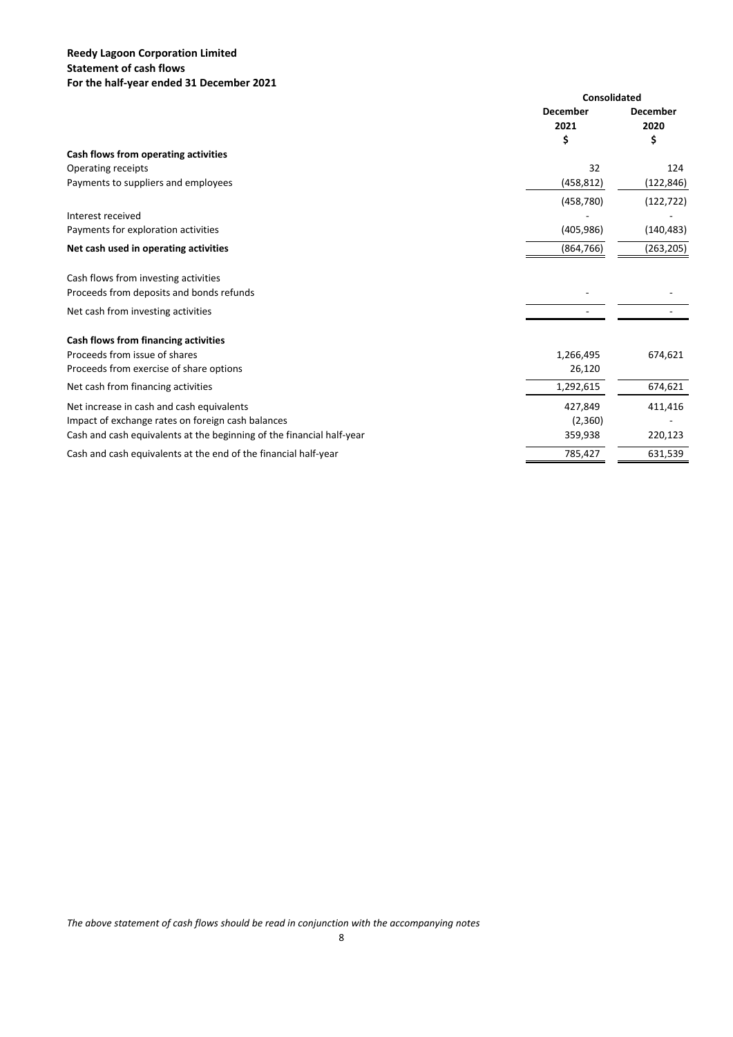## **Reedy Lagoon Corporation Limited Statement of cash flows For the half‐year ended 31 December 2021**

|                                                                       | <b>Consolidated</b>     |                         |
|-----------------------------------------------------------------------|-------------------------|-------------------------|
|                                                                       | <b>December</b><br>2021 | <b>December</b><br>2020 |
|                                                                       | \$                      | \$                      |
| Cash flows from operating activities                                  |                         |                         |
| Operating receipts                                                    | 32                      | 124                     |
| Payments to suppliers and employees                                   | (458, 812)              | (122, 846)              |
|                                                                       | (458, 780)              | (122, 722)              |
| Interest received                                                     |                         |                         |
| Payments for exploration activities                                   | (405, 986)              | (140, 483)              |
| Net cash used in operating activities                                 | (864, 766)              | (263, 205)              |
| Cash flows from investing activities                                  |                         |                         |
| Proceeds from deposits and bonds refunds                              |                         |                         |
| Net cash from investing activities                                    |                         |                         |
| Cash flows from financing activities                                  |                         |                         |
| Proceeds from issue of shares                                         | 1,266,495               | 674,621                 |
| Proceeds from exercise of share options                               | 26,120                  |                         |
| Net cash from financing activities                                    | 1,292,615               | 674,621                 |
| Net increase in cash and cash equivalents                             | 427,849                 | 411,416                 |
| Impact of exchange rates on foreign cash balances                     | (2,360)                 |                         |
| Cash and cash equivalents at the beginning of the financial half-year | 359,938                 | 220,123                 |
| Cash and cash equivalents at the end of the financial half-year       | 785,427                 | 631,539                 |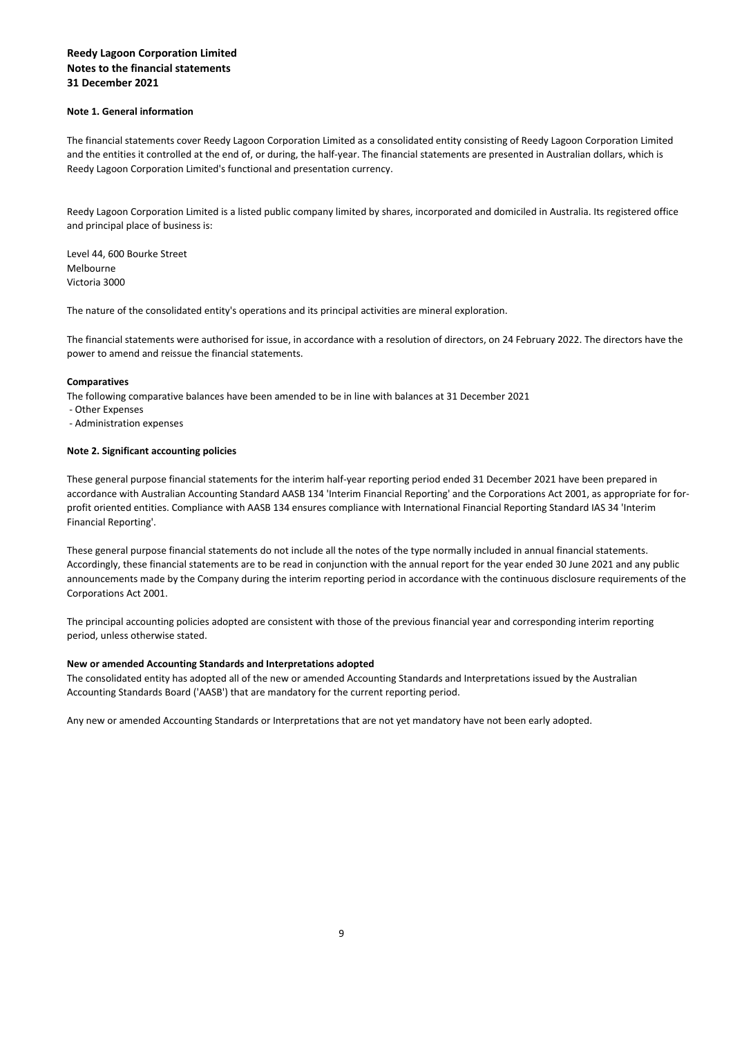#### **Note 1. General information**

The financial statements cover Reedy Lagoon Corporation Limited as a consolidated entity consisting of Reedy Lagoon Corporation Limited and the entities it controlled at the end of, or during, the half-year. The financial statements are presented in Australian dollars, which is Reedy Lagoon Corporation Limited's functional and presentation currency.

Reedy Lagoon Corporation Limited is a listed public company limited by shares, incorporated and domiciled in Australia. Its registered office and principal place of business is:

Level 44, 600 Bourke Street Melbourne Victoria 3000

The nature of the consolidated entity's operations and its principal activities are mineral exploration.

The financial statements were authorised for issue, in accordance with a resolution of directors, on 24 February 2022. The directors have the power to amend and reissue the financial statements.

#### **Comparatives**

The following comparative balances have been amended to be in line with balances at 31 December 2021

- ‐ Other Expenses
- ‐ Administration expenses

#### **Note 2. Significant accounting policies**

These general purpose financial statements for the interim half-year reporting period ended 31 December 2021 have been prepared in accordance with Australian Accounting Standard AASB 134 'Interim Financial Reporting' and the Corporations Act 2001, as appropriate for for‐ profit oriented entities. Compliance with AASB 134 ensures compliance with International Financial Reporting Standard IAS 34 'Interim Financial Reporting'.

These general purpose financial statements do not include all the notes of the type normally included in annual financial statements. Accordingly, these financial statements are to be read in conjunction with the annual report for the year ended 30 June 2021 and any public announcements made by the Company during the interim reporting period in accordance with the continuous disclosure requirements of the Corporations Act 2001.

The principal accounting policies adopted are consistent with those of the previous financial year and corresponding interim reporting period, unless otherwise stated.

#### **New or amended Accounting Standards and Interpretations adopted**

The consolidated entity has adopted all of the new or amended Accounting Standards and Interpretations issued by the Australian Accounting Standards Board ('AASB') that are mandatory for the current reporting period.

Any new or amended Accounting Standards or Interpretations that are not yet mandatory have not been early adopted.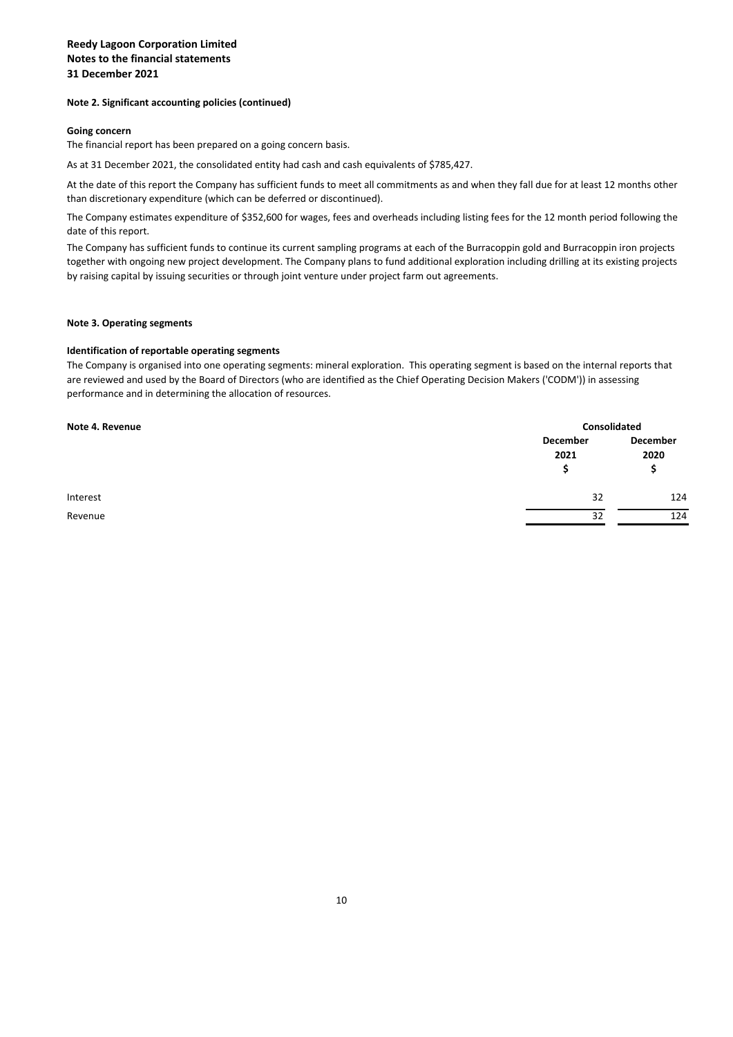#### **Note 2. Significant accounting policies (continued)**

#### **Going concern**

The financial report has been prepared on a going concern basis.

As at 31 December 2021, the consolidated entity had cash and cash equivalents of \$785,427.

At the date of this report the Company has sufficient funds to meet all commitments as and when they fall due for at least 12 months other than discretionary expenditure (which can be deferred or discontinued).

The Company estimates expenditure of \$352,600 for wages, fees and overheads including listing fees for the 12 month period following the date of this report.

The Company has sufficient funds to continue its current sampling programs at each of the Burracoppin gold and Burracoppin iron projects together with ongoing new project development. The Company plans to fund additional exploration including drilling at its existing projects by raising capital by issuing securities or through joint venture under project farm out agreements.

#### **Note 3. Operating segments**

#### **Identification of reportable operating segments**

The Company is organised into one operating segments: mineral exploration. This operating segment is based on the internal reports that are reviewed and used by the Board of Directors (who are identified as the Chief Operating Decision Makers ('CODM')) in assessing performance and in determining the allocation of resources.

| Note 4. Revenue | Consolidated          |                       |  |
|-----------------|-----------------------|-----------------------|--|
|                 | December<br>2021<br>S | December<br>2020<br>s |  |
| Interest        | 32                    | 124                   |  |
| Revenue         | 32                    | 124                   |  |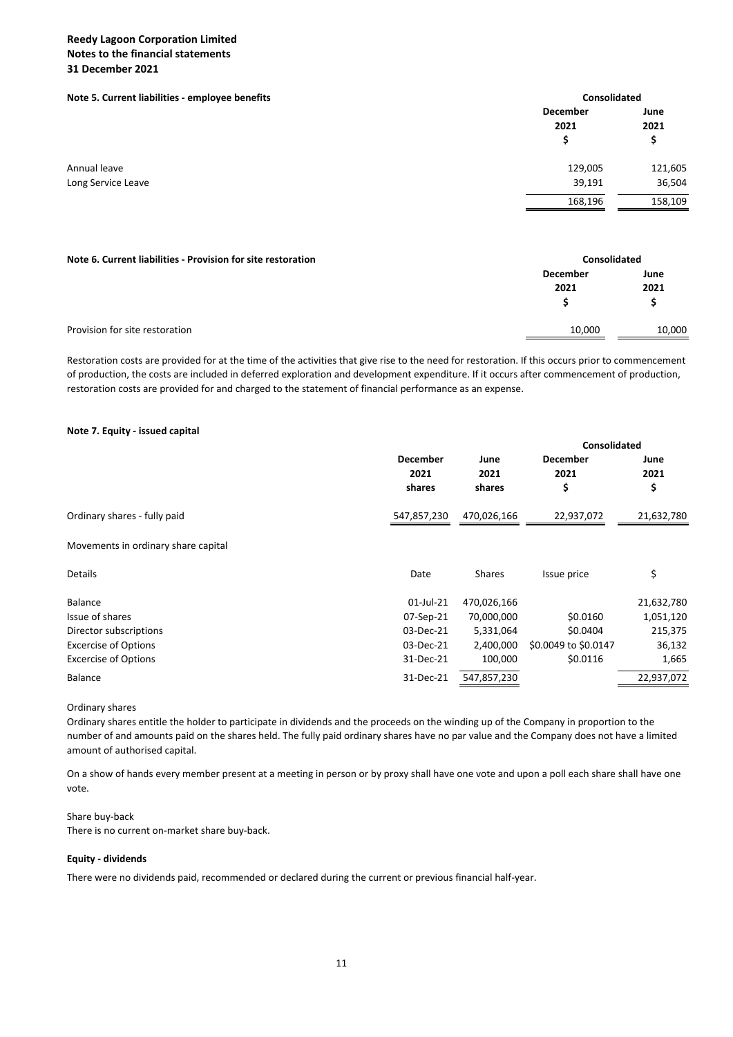#### **Note 5. Current liabilities ‐ employee benefits Consolidated**

| Note 5. Current nabilities - employée benefits | consonuateu |         |
|------------------------------------------------|-------------|---------|
|                                                | December    | June    |
|                                                | 2021        | 2021    |
|                                                | S           |         |
| Annual leave                                   | 129,005     | 121,605 |
| Long Service Leave                             | 39,191      | 36,504  |
|                                                | 168,196     | 158,109 |
|                                                |             |         |

| Note 6. Current liabilities - Provision for site restoration |                 | <b>Consolidated</b> |  |  |
|--------------------------------------------------------------|-----------------|---------------------|--|--|
|                                                              | <b>December</b> | June                |  |  |
|                                                              | 2021            | 2021                |  |  |
|                                                              |                 |                     |  |  |
|                                                              |                 |                     |  |  |
| Provision for site restoration                               | 10,000          | 10,000              |  |  |

Restoration costs are provided for at the time of the activities that give rise to the need for restoration. If this occurs prior to commencement of production, the costs are included in deferred exploration and development expenditure. If it occurs after commencement of production, restoration costs are provided for and charged to the statement of financial performance as an expense.

#### **Note 7. Equity ‐ issued capital**

|                                     |                 |               | <b>Consolidated</b>  |            |
|-------------------------------------|-----------------|---------------|----------------------|------------|
|                                     | <b>December</b> | June          | <b>December</b>      | June       |
|                                     | 2021            | 2021          | 2021                 | 2021       |
|                                     | shares          | shares        | \$                   | \$         |
| Ordinary shares - fully paid        | 547,857,230     | 470,026,166   | 22,937,072           | 21,632,780 |
| Movements in ordinary share capital |                 |               |                      |            |
| <b>Details</b>                      | Date            | <b>Shares</b> | Issue price          | \$         |
| <b>Balance</b>                      | 01-Jul-21       | 470,026,166   |                      | 21,632,780 |
| Issue of shares                     | 07-Sep-21       | 70,000,000    | \$0.0160             | 1,051,120  |
| Director subscriptions              | 03-Dec-21       | 5,331,064     | \$0.0404             | 215,375    |
| <b>Excercise of Options</b>         | 03-Dec-21       | 2,400,000     | \$0.0049 to \$0.0147 | 36,132     |
| <b>Excercise of Options</b>         | 31-Dec-21       | 100,000       | \$0.0116             | 1,665      |
| <b>Balance</b>                      | 31-Dec-21       | 547,857,230   |                      | 22,937,072 |

Ordinary shares

Ordinary shares entitle the holder to participate in dividends and the proceeds on the winding up of the Company in proportion to the number of and amounts paid on the shares held. The fully paid ordinary shares have no par value and the Company does not have a limited amount of authorised capital.

On a show of hands every member present at a meeting in person or by proxy shall have one vote and upon a poll each share shall have one vote.

#### Share buy‐back

There is no current on‐market share buy‐back.

#### **Equity ‐ dividends**

There were no dividends paid, recommended or declared during the current or previous financial half‐year.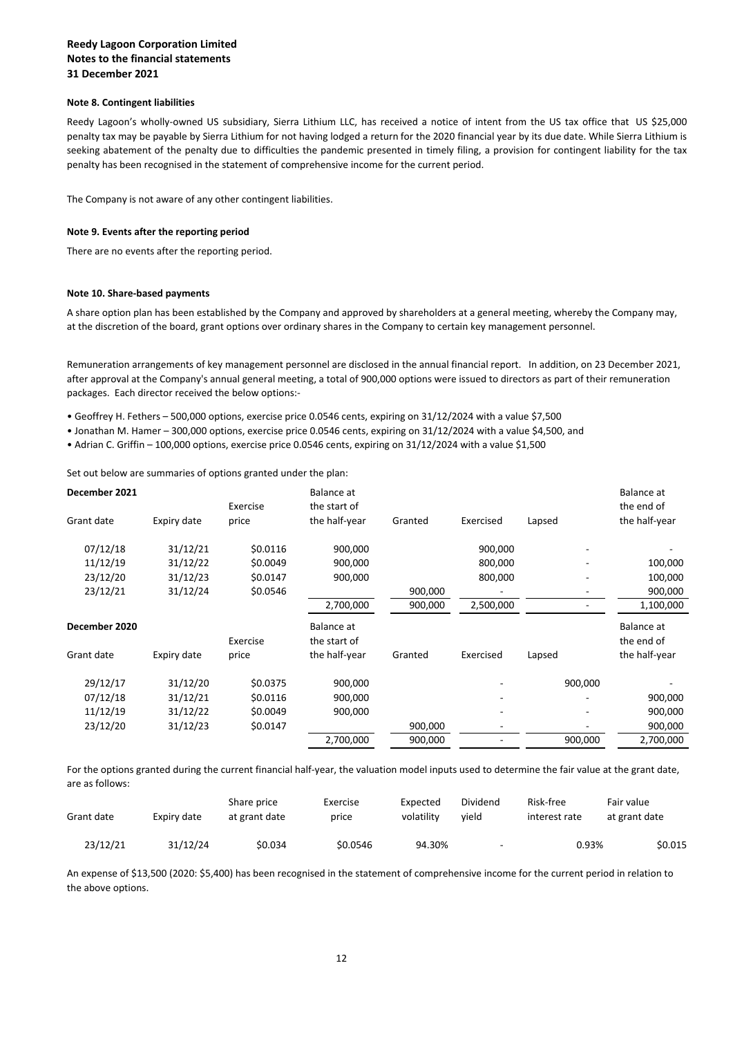#### **Note 8. Contingent liabilities**

Reedy Lagoon's wholly-owned US subsidiary, Sierra Lithium LLC, has received a notice of intent from the US tax office that US \$25,000 penalty tax may be payable by Sierra Lithium for not having lodged a return for the 2020 financial year by its due date. While Sierra Lithium is seeking abatement of the penalty due to difficulties the pandemic presented in timely filing, a provision for contingent liability for the tax penalty has been recognised in the statement of comprehensive income for the current period.

The Company is not aware of any other contingent liabilities.

#### **Note 9. Events after the reporting period**

There are no events after the reporting period.

#### **Note 10. Share‐based payments**

A share option plan has been established by the Company and approved by shareholders at a general meeting, whereby the Company may, at the discretion of the board, grant options over ordinary shares in the Company to certain key management personnel.

Remuneration arrangements of key management personnel are disclosed in the annual financial report. In addition, on 23 December 2021, after approval at the Company's annual general meeting, a total of 900,000 options were issued to directors as part of their remuneration packages. Each director received the below options:‐

- Geoffrey H. Fethers 500,000 options, exercise price 0.0546 cents, expiring on 31/12/2024 with a value \$7,500
- Jonathan M. Hamer 300,000 options, exercise price 0.0546 cents, expiring on 31/12/2024 with a value \$4,500, and
- Adrian C. Griffin 100,000 options, exercise price 0.0546 cents, expiring on 31/12/2024 with a value \$1,500

Set out below are summaries of options granted under the plan:

|             | Exercise | Balance at<br>the start of |         |           |         | Balance at<br>the end of |
|-------------|----------|----------------------------|---------|-----------|---------|--------------------------|
| Expiry date | price    | the half-year              | Granted | Exercised | Lapsed  | the half-year            |
| 31/12/21    | \$0.0116 | 900,000                    |         | 900,000   | -       |                          |
| 31/12/22    | \$0.0049 | 900,000                    |         | 800,000   |         | 100,000                  |
| 31/12/23    | \$0.0147 | 900,000                    |         | 800,000   |         | 100,000                  |
| 31/12/24    | \$0.0546 |                            | 900,000 |           | ۰       | 900,000                  |
|             |          | 2,700,000                  | 900,000 | 2,500,000 |         | 1,100,000                |
|             |          | Balance at                 |         |           |         | Balance at               |
|             | Exercise | the start of               |         |           |         | the end of               |
| Expiry date | price    | the half-year              | Granted | Exercised | Lapsed  | the half-year            |
| 31/12/20    | \$0.0375 | 900,000                    |         |           | 900,000 |                          |
| 31/12/21    | \$0.0116 | 900,000                    |         |           |         | 900,000                  |
| 31/12/22    | \$0.0049 | 900,000                    |         |           |         | 900,000                  |
| 31/12/23    | \$0.0147 |                            | 900,000 |           |         | 900,000                  |
|             |          | 2,700,000                  | 900,000 |           | 900,000 | 2,700,000                |
|             |          |                            |         |           |         |                          |

For the options granted during the current financial half-year, the valuation model inputs used to determine the fair value at the grant date, are as follows:

| Grant date | Expiry date | Share price<br>at grant date | Exercise<br>price | Expected<br>volatility | Dividend<br>vield        | Risk-free<br>interest rate | Fair value<br>at grant date |  |
|------------|-------------|------------------------------|-------------------|------------------------|--------------------------|----------------------------|-----------------------------|--|
| 23/12/21   | 31/12/24    | \$0.034                      | \$0.0546          | 94.30%                 | $\overline{\phantom{a}}$ | 0.93%                      | \$0.015                     |  |

An expense of \$13,500 (2020: \$5,400) has been recognised in the statement of comprehensive income for the current period in relation to the above options.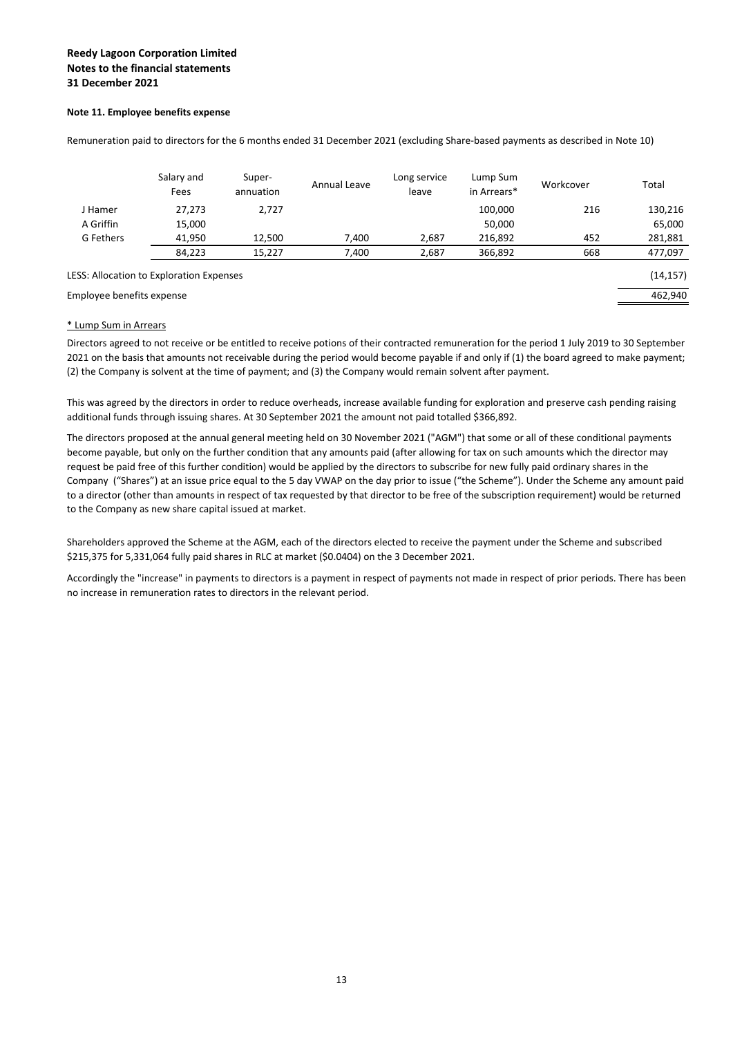### **Note 11. Employee benefits expense**

|                                          | Salary and<br>Fees | Super-<br>annuation | Annual Leave | Long service<br>leave | Lump Sum<br>in Arrears* | Workcover | Total     |
|------------------------------------------|--------------------|---------------------|--------------|-----------------------|-------------------------|-----------|-----------|
| J Hamer                                  | 27,273             | 2.727               |              |                       | 100.000                 | 216       | 130,216   |
| A Griffin                                | 15,000             |                     |              |                       | 50,000                  |           | 65,000    |
| G Fethers                                | 41,950             | 12.500              | 7.400        | 2.687                 | 216,892                 | 452       | 281,881   |
|                                          | 84,223             | 15,227              | 7,400        | 2,687                 | 366,892                 | 668       | 477,097   |
| LESS: Allocation to Exploration Expenses |                    |                     |              |                       |                         |           | (14, 157) |
| Employee benefits expense                |                    |                     |              |                       |                         |           | 462,940   |

Remuneration paid to directors for the 6 months ended 31 December 2021 (excluding Share‐based payments as described in Note 10)

### \* Lump Sum in Arrears

Directors agreed to not receive or be entitled to receive potions of their contracted remuneration for the period 1 July 2019 to 30 September 2021 on the basis that amounts not receivable during the period would become payable if and only if (1) the board agreed to make payment; (2) the Company is solvent at the time of payment; and (3) the Company would remain solvent after payment.

This was agreed by the directors in order to reduce overheads, increase available funding for exploration and preserve cash pending raising additional funds through issuing shares. At 30 September 2021 the amount not paid totalled \$366,892.

The directors proposed at the annual general meeting held on 30 November 2021 ("AGM") that some or all of these conditional payments become payable, but only on the further condition that any amounts paid (after allowing for tax on such amounts which the director may request be paid free of this further condition) would be applied by the directors to subscribe for new fully paid ordinary shares in the Company ("Shares") at an issue price equal to the 5 day VWAP on the day prior to issue ("the Scheme"). Under the Scheme any amount paid to a director (other than amounts in respect of tax requested by that director to be free of the subscription requirement) would be returned to the Company as new share capital issued at market.

Shareholders approved the Scheme at the AGM, each of the directors elected to receive the payment under the Scheme and subscribed \$215,375 for 5,331,064 fully paid shares in RLC at market (\$0.0404) on the 3 December 2021.

Accordingly the "increase" in payments to directors is a payment in respect of payments not made in respect of prior periods. There has been no increase in remuneration rates to directors in the relevant period.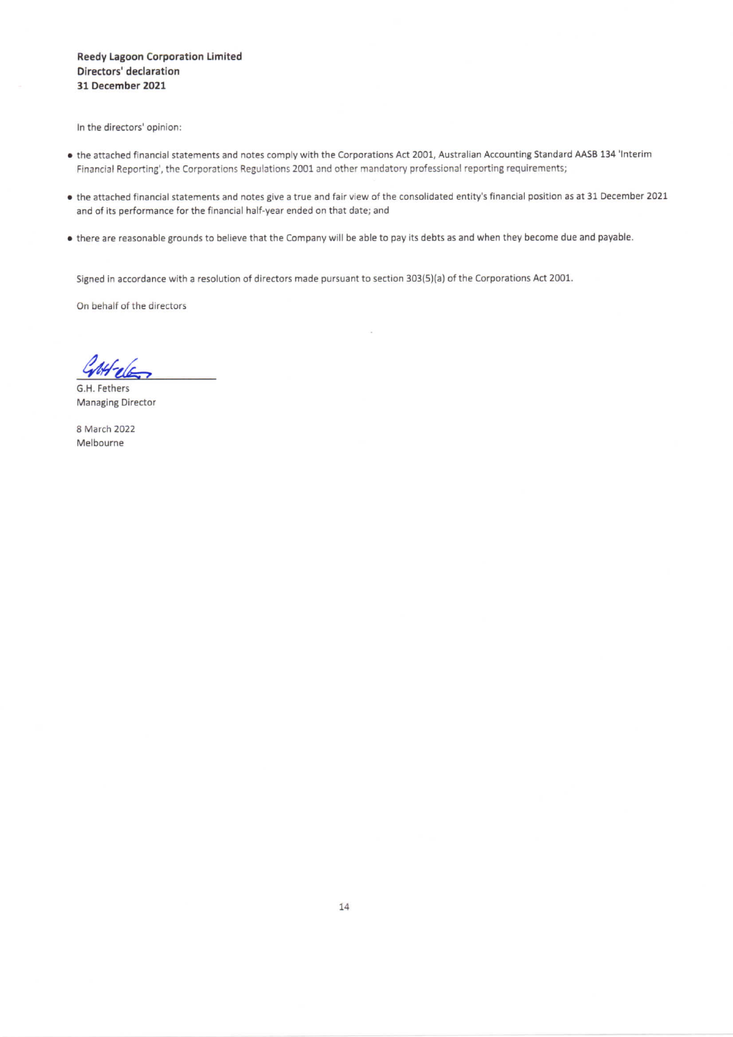**Reedy Lagoon Corporation Limited** Directors' declaration 31 December 2021

In the directors' opinion:

- the attached financial statements and notes comply with the Corporations Act 2001, Australian Accounting Standard AASB 134 'Interim Financial Reporting', the Corporations Regulations 2001 and other mandatory professional reporting requirements;
- . the attached financial statements and notes give a true and fair view of the consolidated entity's financial position as at 31 December 2021 and of its performance for the financial half-year ended on that date; and
- . there are reasonable grounds to believe that the Company will be able to pay its debts as and when they become due and payable.

Signed in accordance with a resolution of directors made pursuant to section 303(5)(a) of the Corporations Act 2001.

On behalf of the directors

G.H. Fethers **Managing Director** 

8 March 2022 Melbourne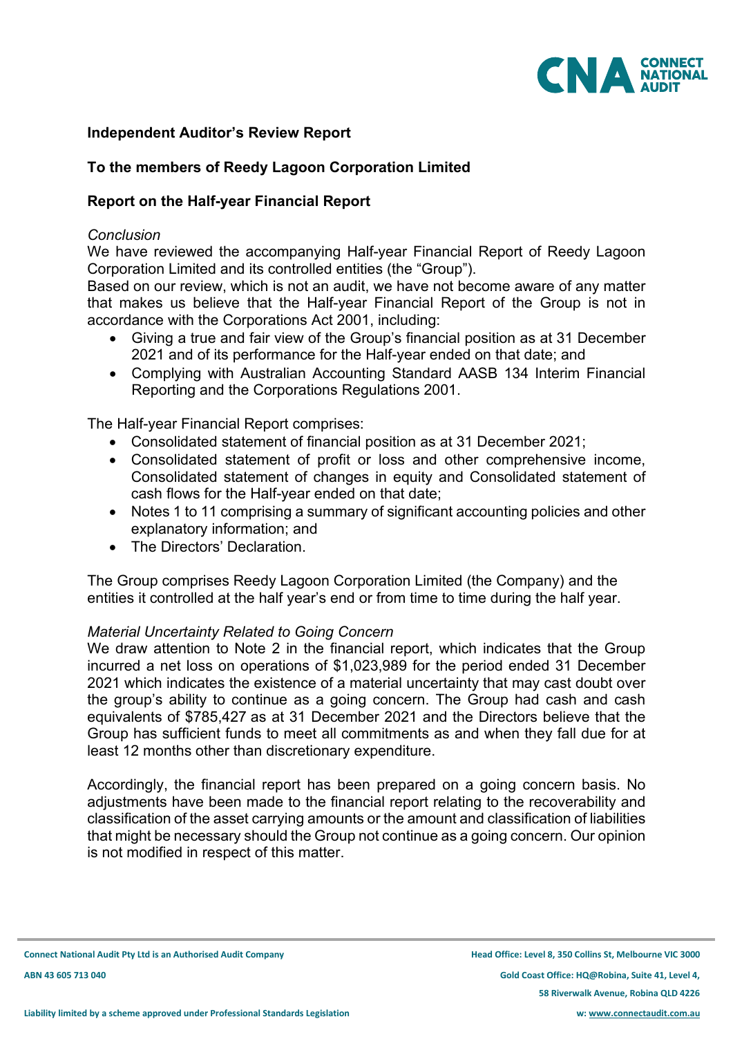

# **Independent Auditor's Review Report**

# **To the members of Reedy Lagoon Corporation Limited**

# **Report on the Half-year Financial Report**

# *Conclusion*

We have reviewed the accompanying Half-year Financial Report of Reedy Lagoon Corporation Limited and its controlled entities (the "Group").

Based on our review, which is not an audit, we have not become aware of any matter that makes us believe that the Half-year Financial Report of the Group is not in accordance with the Corporations Act 2001, including:

- Giving a true and fair view of the Group's financial position as at 31 December 2021 and of its performance for the Half-year ended on that date; and
- Complying with Australian Accounting Standard AASB 134 Interim Financial Reporting and the Corporations Regulations 2001.

The Half-year Financial Report comprises:

- Consolidated statement of financial position as at 31 December 2021;
- Consolidated statement of profit or loss and other comprehensive income, Consolidated statement of changes in equity and Consolidated statement of cash flows for the Half-year ended on that date;
- Notes 1 to 11 comprising a summary of significant accounting policies and other explanatory information; and
- The Directors' Declaration.

The Group comprises Reedy Lagoon Corporation Limited (the Company) and the entities it controlled at the half year's end or from time to time during the half year.

# *Material Uncertainty Related to Going Concern*

We draw attention to Note 2 in the financial report, which indicates that the Group incurred a net loss on operations of \$1,023,989 for the period ended 31 December 2021 which indicates the existence of a material uncertainty that may cast doubt over the group's ability to continue as a going concern. The Group had cash and cash equivalents of \$785,427 as at 31 December 2021 and the Directors believe that the Group has sufficient funds to meet all commitments as and when they fall due for at least 12 months other than discretionary expenditure.

Accordingly, the financial report has been prepared on a going concern basis. No adjustments have been made to the financial report relating to the recoverability and classification of the asset carrying amounts or the amount and classification of liabilities that might be necessary should the Group not continue as a going concern. Our opinion is not modified in respect of this matter.